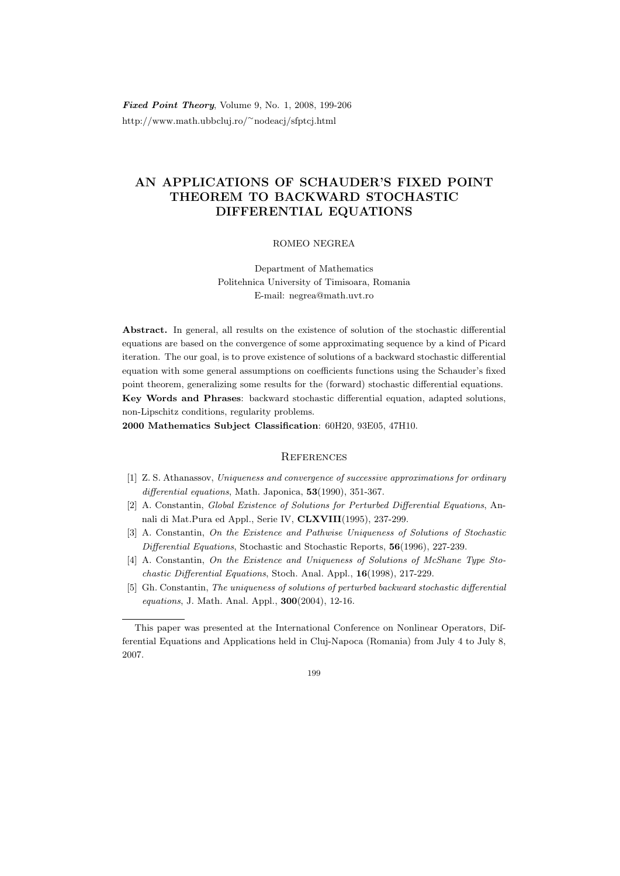Fixed Point Theory, Volume 9, No. 1, 2008, 199-206 http://www.math.ubbcluj.ro/<sup>∼</sup>nodeacj/sfptcj.html

## AN APPLICATIONS OF SCHAUDER'S FIXED POINT THEOREM TO BACKWARD STOCHASTIC DIFFERENTIAL EQUATIONS

## ROMEO NEGREA

Department of Mathematics Politehnica University of Timisoara, Romania E-mail: negrea@math.uvt.ro

Abstract. In general, all results on the existence of solution of the stochastic differential equations are based on the convergence of some approximating sequence by a kind of Picard iteration. The our goal, is to prove existence of solutions of a backward stochastic differential equation with some general assumptions on coefficients functions using the Schauder's fixed point theorem, generalizing some results for the (forward) stochastic differential equations. Key Words and Phrases: backward stochastic differential equation, adapted solutions, non-Lipschitz conditions, regularity problems.

2000 Mathematics Subject Classification: 60H20, 93E05, 47H10.

## **REFERENCES**

- [1] Z. S. Athanassov, Uniqueness and convergence of successive approximations for ordinary differential equations, Math. Japonica, 53(1990), 351-367.
- [2] A. Constantin, Global Existence of Solutions for Perturbed Differential Equations, Annali di Mat.Pura ed Appl., Serie IV, CLXVIII(1995), 237-299.
- [3] A. Constantin, On the Existence and Pathwise Uniqueness of Solutions of Stochastic Differential Equations, Stochastic and Stochastic Reports, 56(1996), 227-239.
- [4] A. Constantin, On the Existence and Uniqueness of Solutions of McShane Type Stochastic Differential Equations, Stoch. Anal. Appl., 16(1998), 217-229.
- [5] Gh. Constantin, The uniqueness of solutions of perturbed backward stochastic differential equations, J. Math. Anal. Appl., 300(2004), 12-16.

This paper was presented at the International Conference on Nonlinear Operators, Differential Equations and Applications held in Cluj-Napoca (Romania) from July 4 to July 8, 2007.

<sup>199</sup>